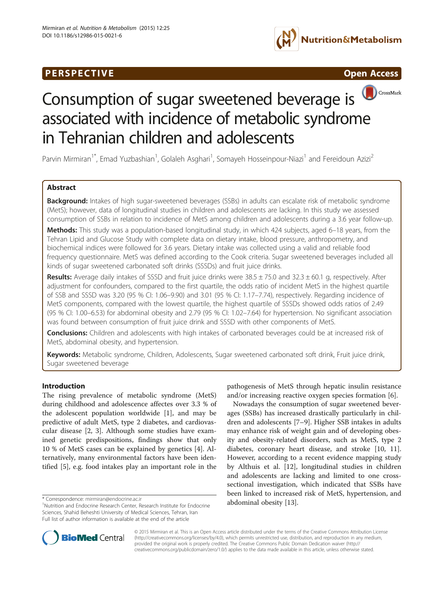# **PERSPECTIVE CONSUMING A REPORT OF A SET OPEN ACCESS**







Parvin Mirmiran<sup>1\*</sup>, Emad Yuzbashian<sup>1</sup>, Golaleh Asghari<sup>1</sup>, Somayeh Hosseinpour-Niazi<sup>1</sup> and Fereidoun Azizi<sup>2</sup>

# Abstract

Background: Intakes of high sugar-sweetened beverages (SSBs) in adults can escalate risk of metabolic syndrome (MetS); however, data of longitudinal studies in children and adolescents are lacking. In this study we assessed consumption of SSBs in relation to incidence of MetS among children and adolescents during a 3.6 year follow-up.

Methods: This study was a population-based longitudinal study, in which 424 subjects, aged 6-18 years, from the Tehran Lipid and Glucose Study with complete data on dietary intake, blood pressure, anthropometry, and biochemical indices were followed for 3.6 years. Dietary intake was collected using a valid and reliable food frequency questionnaire. MetS was defined according to the Cook criteria. Sugar sweetened beverages included all kinds of sugar sweetened carbonated soft drinks (SSSDs) and fruit juice drinks.

Results: Average daily intakes of SSSD and fruit juice drinks were 38.5 ± 75.0 and 32.3 ± 60.1 g, respectively. After adjustment for confounders, compared to the first quartile, the odds ratio of incident MetS in the highest quartile of SSB and SSSD was 3.20 (95 % CI: 1.06–9.90) and 3.01 (95 % CI: 1.17–7.74), respectively. Regarding incidence of MetS components, compared with the lowest quartile, the highest quartile of SSSDs showed odds ratios of 2.49 (95 % CI: 1.00–6.53) for abdominal obesity and 2.79 (95 % CI: 1.02–7.64) for hypertension. No significant association was found between consumption of fruit juice drink and SSSD with other components of MetS.

**Conclusions:** Children and adolescents with high intakes of carbonated beverages could be at increased risk of MetS, abdominal obesity, and hypertension.

Keywords: Metabolic syndrome, Children, Adolescents, Sugar sweetened carbonated soft drink, Fruit juice drink, Sugar sweetened beverage

# Introduction

The rising prevalence of metabolic syndrome (MetS) during childhood and adolescence affectes over 3.3 % of the adolescent population worldwide [\[1\]](#page-7-0), and may be predictive of adult MetS, type 2 diabetes, and cardiovascular disease [[2, 3\]](#page-7-0). Although some studies have examined genetic predispositions, findings show that only 10 % of MetS cases can be explained by genetics [\[4\]](#page-7-0). Alternatively, many environmental factors have been identified [\[5](#page-7-0)], e.g. food intakes play an important role in the

pathogenesis of MetS through hepatic insulin resistance and/or increasing reactive oxygen species formation [[6\]](#page-7-0).

Nowadays the consumption of sugar sweetened beverages (SSBs) has increased drastically particularly in children and adolescents [\[7](#page-7-0)–[9](#page-7-0)]. Higher SSB intakes in adults may enhance risk of weight gain and of developing obesity and obesity-related disorders, such as MetS, type 2 diabetes, coronary heart disease, and stroke [[10, 11](#page-7-0)]. However, according to a recent evidence mapping study by Althuis et al. [\[12\]](#page-7-0), longitudinal studies in children and adolescents are lacking and limited to one crosssectional investigation, which indicated that SSBs have been linked to increased risk of MetS, hypertension, and



© 2015 Mirmiran et al. This is an Open Access article distributed under the terms of the Creative Commons Attribution License [\(http://creativecommons.org/licenses/by/4.0\)](http://creativecommons.org/licenses/by/4.0), which permits unrestricted use, distribution, and reproduction in any medium, provided the original work is properly credited. The Creative Commons Public Domain Dedication waiver [\(http://](http://creativecommons.org/publicdomain/zero/1.0/) [creativecommons.org/publicdomain/zero/1.0/\)](http://creativecommons.org/publicdomain/zero/1.0/) applies to the data made available in this article, unless otherwise stated.

<sup>\*</sup> Correspondence: [mirmiran@endocrine.ac.ir](mailto:mirmiran@endocrine.ac.ir)<br><sup>1</sup>Nutrition and Endocrine Research Center, Research Institute for Endocrine **abdominal obesity** [\[13](#page-7-0)]. Sciences, Shahid Beheshti University of Medical Sciences, Tehran, Iran Full list of author information is available at the end of the article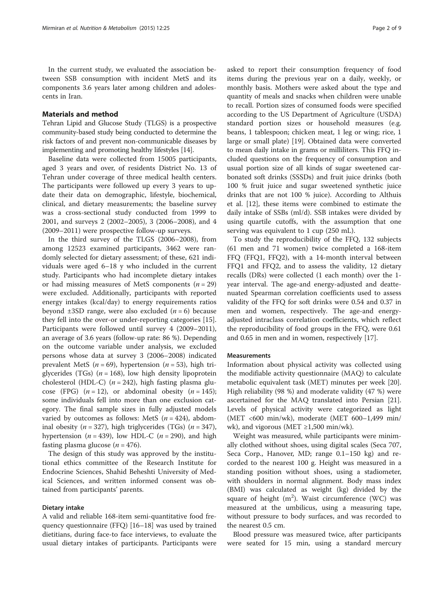In the current study, we evaluated the association between SSB consumption with incident MetS and its components 3.6 years later among children and adolescents in Iran.

### Materials and method

Tehran Lipid and Glucose Study (TLGS) is a prospective community-based study being conducted to determine the risk factors of and prevent non-communicable diseases by implementing and promoting healthy lifestyles [[14](#page-7-0)].

Baseline data were collected from 15005 participants, aged 3 years and over, of residents District No. 13 of Tehran under coverage of three medical health centers. The participants were followed up every 3 years to update their data on demographic, lifestyle, biochemical, clinical, and dietary measurements; the baseline survey was a cross-sectional study conducted from 1999 to 2001, and surveys 2 (2002–2005), 3 (2006–2008), and 4 (2009–2011) were prospective follow-up surveys.

In the third survey of the TLGS (2006–2008), from among 12523 examined participants, 3462 were randomly selected for dietary assessment; of these, 621 individuals were aged 6–18 y who included in the current study. Participants who had incomplete dietary intakes or had missing measures of MetS components  $(n = 29)$ were excluded. Additionally, participants with reported energy intakes (kcal/day) to energy requirements ratios beyond  $\pm 3SD$  range, were also excluded ( $n = 6$ ) because they fell into the over-or under-reporting categories [\[15](#page-7-0)]. Participants were followed until survey 4 (2009–2011), an average of 3.6 years (follow-up rate: 86 %). Depending on the outcome variable under analysis, we excluded persons whose data at survey 3 (2006–2008) indicated prevalent MetS ( $n = 69$ ), hypertension ( $n = 53$ ), high triglycerides (TGs) ( $n = 168$ ), low high density lipoprotein cholesterol (HDL-C) ( $n = 242$ ), high fasting plasma glucose (FPG)  $(n = 12)$ , or abdominal obesity  $(n = 145)$ ; some individuals fell into more than one exclusion category. The final sample sizes in fully adjusted models varied by outcomes as follows: MetS  $(n = 424)$ , abdominal obesity ( $n = 327$ ), high triglycerides (TGs) ( $n = 347$ ), hypertension ( $n = 439$ ), low HDL-C ( $n = 290$ ), and high fasting plasma glucose ( $n = 476$ ).

The design of this study was approved by the institutional ethics committee of the Research Institute for Endocrine Sciences, Shahid Beheshti University of Medical Sciences, and written informed consent was obtained from participants' parents.

### Dietary intake

A valid and reliable 168-item semi-quantitative food frequency questionnaire (FFQ) [[16](#page-7-0)–[18](#page-7-0)] was used by trained dietitians, during face-to face interviews, to evaluate the usual dietary intakes of participants. Participants were

asked to report their consumption frequency of food items during the previous year on a daily, weekly, or monthly basis. Mothers were asked about the type and quantity of meals and snacks when children were unable to recall. Portion sizes of consumed foods were specified according to the US Department of Agriculture (USDA) standard portion sizes or household measures (e.g. beans, 1 tablespoon; chicken meat, 1 leg or wing; rice, 1 large or small plate) [[19\]](#page-7-0). Obtained data were converted to mean daily intake in grams or milliliters. This FFQ included questions on the frequency of consumption and usual portion size of all kinds of sugar sweetened carbonated soft drinks (SSSDs) and fruit juice drinks (both 100 % fruit juice and sugar sweetened synthetic juice drinks that are not 100 % juice). According to Althuis et al. [[12](#page-7-0)], these items were combined to estimate the daily intake of SSBs (ml/d). SSB intakes were divided by using quartile cutoffs, with the assumption that one serving was equivalent to 1 cup (250 mL).

To study the reproducibility of the FFQ, 132 subjects (61 men and 71 women) twice completed a 168-item FFQ (FFQ1, FFQ2), with a 14-month interval between FFQ1 and FFQ2, and to assess the validity, 12 dietary recalls (DRs) were collected (1 each month) over the 1 year interval. The age-and energy-adjusted and deattenuated Spearman correlation coefficients used to assess validity of the FFQ for soft drinks were 0.54 and 0.37 in men and women, respectively. The age-and energyadjusted intraclass correlation coefficients, which reflect the reproducibility of food groups in the FFQ, were 0.61 and 0.65 in men and in women, respectively [[17\]](#page-7-0).

### **Measurements**

Information about physical activity was collected using the modifiable activity questionnaire (MAQ) to calculate metabolic equivalent task (MET) minutes per week [\[20](#page-8-0)]. High reliability (98 %) and moderate validity (47 %) were ascertained for the MAQ translated into Persian [\[21](#page-8-0)]. Levels of physical activity were categorized as light (MET <600 min/wk), moderate (MET 600–1,499 min/ wk), and vigorous (MET  $\geq$ 1,500 min/wk).

Weight was measured, while participants were minimally clothed without shoes, using digital scales (Seca 707, Seca Corp., Hanover, MD; range 0.1–150 kg) and recorded to the nearest 100 g. Height was measured in a standing position without shoes, using a stadiometer, with shoulders in normal alignment. Body mass index (BMI) was calculated as weight (kg) divided by the square of height  $(m^2)$ . Waist circumference (WC) was measured at the umbilicus, using a measuring tape, without pressure to body surfaces, and was recorded to the nearest 0.5 cm.

Blood pressure was measured twice, after participants were seated for 15 min, using a standard mercury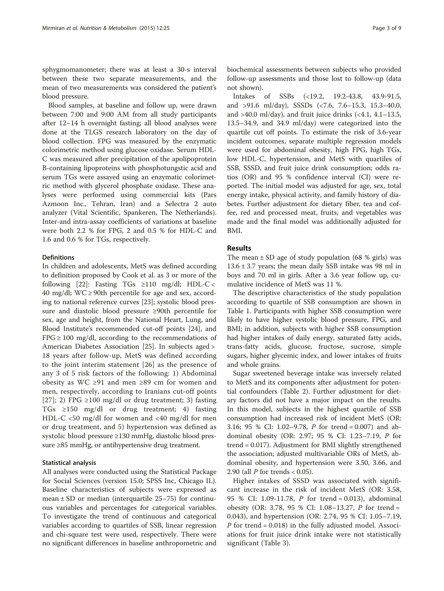sphygmomanometer; there was at least a 30-s interval between these two separate measurements, and the mean of two measurements was considered the patient's blood pressure.

Blood samples, at baseline and follow up, were drawn between 7:00 and 9:00 AM from all study participants after 12–14 h overnight fasting; all blood analyses were done at the TLGS research laboratory on the day of blood collection. FPG was measured by the enzymatic colorimetric method using glucose oxidase. Serum HDL-C was measured after precipitation of the apolipoprotein B-containing lipoproteins with phosphotungstic acid and serum TGs were assayed using an enzymatic colorimetric method with glycerol phosphate oxidase. These analyses were performed using commercial kits (Pars Azmoon Inc., Tehran, Iran) and a Selectra 2 auto analyzer (Vital Scientific, Spankeren, The Netherlands). Inter-and intra-assay coefficients of variations at baseline were both 2.2 % for FPG, 2 and 0.5 % for HDL-C and 1.6 and 0.6 % for TGs, respectively.

### Definitions

In children and adolescents, MetS was defined according to definition proposed by Cook et al. as 3 or more of the following [\[22\]](#page-8-0): Fasting TGs ≥110 mg/dl; HDL-C < 40 mg/dl; WC  $\geq$  90th percentile for age and sex, according to national reference curves [[23\]](#page-8-0); systolic blood pressure and diastolic blood pressure ≥90th percentile for sex, age and height, from the National Heart, Lung, and Blood Institute's recommended cut-off points [\[24\]](#page-8-0), and  $FPG \ge 100$  mg/dl, according to the recommendations of American Diabetes Association [\[25\]](#page-8-0). In subjects aged > 18 years after follow-up, MetS was defined according to the joint interim statement [[26](#page-8-0)] as the presence of any 3 of 5 risk factors of the following: 1) Abdominal obesity as WC ≥91 and men ≥89 cm for women and men, respectively, according to Iranians cut-off points [[27](#page-8-0)]; 2) FPG ≥100 mg/dl or drug treatment; 3) fasting TGs ≥150 mg/dl or drug treatment; 4) fasting HDL-C <50 mg/dl for women and <40 mg/dl for men or drug treatment, and 5) hypertension was defined as systolic blood pressure ≥130 mmHg, diastolic blood pressure ≥85 mmHg, or antihypertensive drug treatment.

### Statistical analysis

All analyses were conducted using the Statistical Package for Social Sciences (version 15.0; SPSS Inc, Chicago IL). Baseline characteristics of subjects were expressed as mean  $\pm$  SD or median (interquartile 25–75) for continuous variables and percentages for categorical variables. To investigate the trend of continuous and categorical variables according to quartiles of SSB, linear regression and chi-square test were used, respectively. There were no significant differences in baseline anthropometric and biochemical assessments between subjects who provided follow-up assessments and those lost to follow-up (data not shown).

Intakes of SSBs (<19.2, 19.2-43.8, 43.9-91.5, and >91.6 ml/day), SSSDs (<7.6, 7.6–15.3, 15.3–40.0, and  $>40.0$  ml/day), and fruit juice drinks (<4.1, 4.1–13.5, 13.5–34.9, and 34.9 ml/day) were categorized into the quartile cut off points. To estimate the risk of 3.6-year incident outcomes, separate multiple regression models were used for abdominal obesity, high FPG, high TGs, low HDL-C, hypertension, and MetS with quartiles of SSB, SSSD, and fruit juice drink consumption; odds ratios (OR) and 95 % confidence interval (CI) were reported. The initial model was adjusted for age, sex, total energy intake, physical activity, and family history of diabetes. Further adjustment for dietary fiber, tea and coffee, red and processed meat, fruits, and vegetables was made and the final model was additionally adjusted for BMI.

# Results

The mean  $\pm$  SD age of study population (68 % girls) was  $13.6 \pm 3.7$  years; the mean daily SSB intake was 98 ml in boys and 70 ml in girls. After a 3.6 year follow up, cumulative incidence of MetS was 11 %.

The descriptive characteristics of the study population according to quartile of SSB consumption are shown in Table [1](#page-3-0). Participants with higher SSB consumption were likely to have higher systolic blood pressure, FPG, and BMI; in addition, subjects with higher SSB consumption had higher intakes of daily energy, saturated fatty acids, trans-fatty acids, glucose, fructose, sucrose, simple sugars, higher glycemic index, and lower intakes of fruits and whole grains.

Sugar sweetened beverage intake was inversely related to MetS and its components after adjustment for potential confounders (Table [2\)](#page-4-0). Further adjustment for dietary factors did not have a major impact on the results. In this model, subjects in the highest quartile of SSB consumption had increased risk of incident MetS (OR: 3.16; 95 % CI: 1.02–9.78, P for trend = 0.007) and abdominal obesity (OR: 2.97; 95 % CI: 1.23–7.19, P for trend = 0.017). Adjustment for BMI slightly strengthened the association; adjusted multivariable ORs of MetS, abdominal obesity, and hypertension were 3.50, 3.66, and 2.90 (all  $P$  for trends < 0.05).

Higher intakes of SSSD was associated with significant increase in the risk of incident MetS (OR: 3.58, 95 % CI: 1.09-11.78, P for trend = 0.013), abdominal obesity (OR: 3.78, 95 % CI: 1.08–13.27, P for trend = 0.043), and hypertension (OR: 2.74, 95 % CI: 1.05–7.19, P for trend = 0.018) in the fully adjusted model. Associations for fruit juice drink intake were not statistically significant (Table [3](#page-5-0)).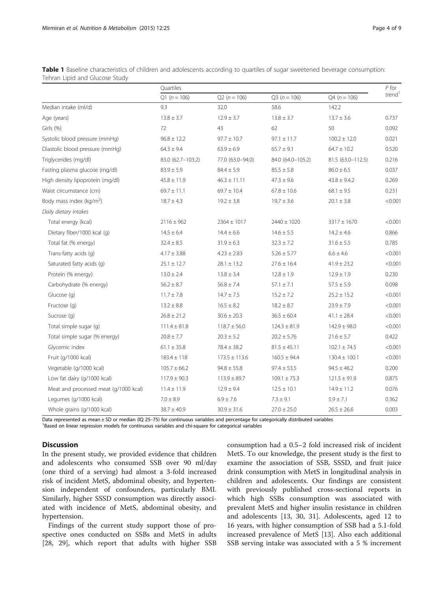<span id="page-3-0"></span>

| Table 1 Baseline characteristics of children and adolescents according to quartiles of sugar sweetened beverage consumption: |  |  |  |
|------------------------------------------------------------------------------------------------------------------------------|--|--|--|
| Tehran Lipid and Glucose Study                                                                                               |  |  |  |

|                                       | Quartiles         |                   |                   |                   | $P$ for            |
|---------------------------------------|-------------------|-------------------|-------------------|-------------------|--------------------|
|                                       | $Q1(n = 106)$     | $Q2(n = 106)$     | $Q3(n = 106)$     | $Q4(n = 106)$     | trend <sup>1</sup> |
| Median intake (ml/d)                  | 9.3               | 32.0              | 58.6              | 142.2             |                    |
| Age (years)                           | $13.8 \pm 3.7$    | $12.9 \pm 3.7$    | $13.8 \pm 3.7$    | $13.7 \pm 3.6$    | 0.737              |
| Girls (%)                             | 72                | 43                | 62                | 50                | 0.092              |
| Systolic blood pressure (mmHg)        | $96.8 \pm 12.2$   | $97.7 \pm 10.7$   | $97.1 \pm 11.7$   | $100.2 \pm 12.0$  | 0.021              |
| Diastolic blood pressure (mmHg)       | $64.3 \pm 9.4$    | $63.9 \pm 6.9$    | $65.7 \pm 9.1$    | $64.7 \pm 10.2$   | 0.520              |
| Triglycerides (mg/dl)                 | 83.0 (62.7-103.2) | 77.0 (63.0-94.0)  | 84.0 (64.0-105.2) | 81.5 (63.0-112.5) | 0.216              |
| Fasting plasma glucose (mg/dl)        | $83.9 \pm 5.9$    | $84.4 \pm 5.9$    | $85.5 \pm 5.8$    | $86.0 \pm 6.5$    | 0.037              |
| High density lipoprotein (mg/dl)      | $45.8 \pm 11.9$   | $46.3 \pm 11.11$  | $47.3 \pm 9.6$    | $43.8 \pm 9.4.2$  | 0.269              |
| Waist circumstance (cm)               | $69.7 \pm 11.1$   | $69.7 \pm 10.4$   | $67.8 \pm 10.6$   | $68.1 \pm 9.5$    | 0.231              |
| Body mass index ( $kg/m2$ )           | $18.7 \pm 4.3$    | $19.2 \pm 3.8$    | $19.7 \pm 3.6$    | $20.1 \pm 3.8$    | < 0.001            |
| Daily dietary intakes                 |                   |                   |                   |                   |                    |
| Total energy (kcal)                   | $2116 \pm 962$    | $2364 \pm 1017$   | $2440 \pm 1020$   | $3317 \pm 1670$   | < 0.001            |
| Dietary fiber/1000 kcal (q)           | $14.5 \pm 6.4$    | $14.4 \pm 6.6$    | $14.6 \pm 5.5$    | $14.2 \pm 4.6$    | 0.866              |
| Total fat (% energy)                  | $32.4 \pm 8.5$    | $31.9 \pm 6.3$    | $32.3 \pm 7.2$    | $31.6 \pm 5.5$    | 0.785              |
| Trans-fatty acids (q)                 | $4.17 \pm 3.88$   | $4.23 \pm 2.83$   | $5.26 \pm 5.77$   | $6.6 \pm 4.6$     | < 0.001            |
| Saturated fatty acids (q)             | $25.1 \pm 12.7$   | $28.1 \pm 13.2$   | $27.6 \pm 16.4$   | $41.9 \pm 23.2$   | < 0.001            |
| Protein (% energy)                    | $13.0 \pm 2.4$    | $13.8 \pm 3.4$    | $12.8 \pm 1.9$    | $12.9 \pm 1.9$    | 0.230              |
| Carbohydrate (% energy)               | $56.2 \pm 8.7$    | $56.8 \pm 7.4$    | $57.1 \pm 7.1$    | $57.5 \pm 5.9$    | 0.098              |
| Glucose (q)                           | $11.7 \pm 7.8$    | $14.7 \pm 7.5$    | $15.2 \pm 7.2$    | $25.2 \pm 15.2$   | < 0.001            |
| Fructose (q)                          | $13.2 \pm 8.8$    | $16.5 \pm 8.2$    | $18.2 \pm 8.7$    | $23.9 \pm 7.9$    | < 0.001            |
| Sucrose (q)                           | $26.8 \pm 21.2$   | $30.6 \pm 20.3$   | $36.5 \pm 60.4$   | $41.1 \pm 28.4$   | < 0.001            |
| Total simple sugar (g)                | $111.4 \pm 81.8$  | $118.7 \pm 56.0$  | $124.3 \pm 81.9$  | $142.9 \pm 98.0$  | < 0.001            |
| Total simple sugar (% energy)         | $20.8 \pm 7.7$    | $20.3 \pm 5.2$    | $20.2 \pm 5.76$   | $21.6 \pm 5.7$    | 0.422              |
| Glycemic index                        | $61.1 \pm 35.8$   | $78.4 \pm 38.2$   | $81.5 \pm 45.11$  | $102.1 \pm 74.5$  | < 0.001            |
| Fruit (g/1000 kcal)                   | $183.4 \pm 118$   | $173.5 \pm 113.6$ | $160.5 \pm 94.4$  | $130.4 \pm 100.1$ | < 0.001            |
| Vegetable (g/1000 kcal)               | $105.7 \pm 66.2$  | $94.8 \pm 55.8$   | $97.4 \pm 53.5$   | $94.5 \pm 46.2$   | 0.200              |
| Low fat dairy (g/1000 kcal)           | $117.9 \pm 90.3$  | $113.9 \pm 89.7$  | $109.1 \pm 75.3$  | $121.5 \pm 91.9$  | 0.875              |
| Meat and processed meat (g/1000 kcal) | $11.4 \pm 11.9$   | $12.9 \pm 9.4$    | $12.5 \pm 10.1$   | $14.9 \pm 11.2$   | 0.076              |
| Legumes (g/1000 kcal)                 | $7.0 \pm 8.9$     | $6.9 \pm 7.6$     | $7.3 \pm 9.1$     | $5.9 \pm 7.1$     | 0.362              |
| Whole grains (g/1000 kcal)            | $38.7 \pm 40.9$   | $30.9 \pm 31.6$   | $27.0 \pm 25.0$   | $26.5 \pm 26.6$   | 0.003              |

Data represented as mean ± SD or median (IQ 25–75) for continuous variables and percentage for categorically distributed variables <sup>1</sup>

<sup>1</sup>Based on linear regression models for continuous variables and chi-square for categorical variables

# **Discussion**

In the present study, we provided evidence that children and adolescents who consumed SSB over 90 ml/day (one third of a serving) had almost a 3-fold increased risk of incident MetS, abdominal obesity, and hypertension independent of confounders, particularly BMI. Similarly, higher SSSD consumption was directly associated with incidence of MetS, abdominal obesity, and hypertension.

Findings of the current study support those of prospective ones conducted on SSBs and MetS in adults [[28, 29](#page-8-0)], which report that adults with higher SSB consumption had a 0.5–2 fold increased risk of incident MetS. To our knowledge, the present study is the first to examine the association of SSB, SSSD, and fruit juice drink consumption with MetS in longitudinal analysis in children and adolescents. Our findings are consistent with previously published cross-sectional reports in which high SSBs consumption was associated with prevalent MetS and higher insulin resistance in children and adolescents [[13,](#page-7-0) [30, 31](#page-8-0)]. Adolescents, aged 12 to 16 years, with higher consumption of SSB had a 5.1-fold increased prevalence of MetS [[13](#page-7-0)]. Also each additional SSB serving intake was associated with a 5 % increment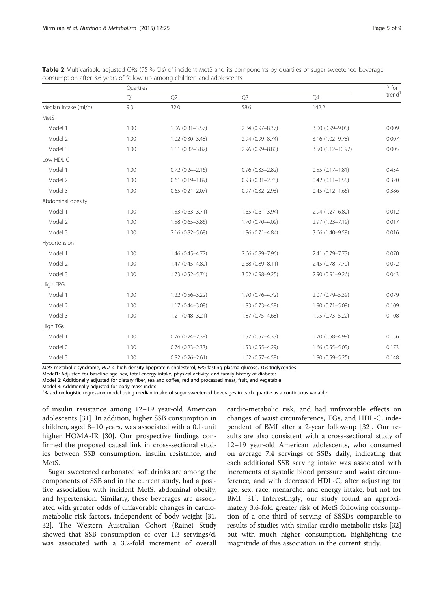|                      | Quartiles |                        |                     |                     |                    |  |
|----------------------|-----------|------------------------|---------------------|---------------------|--------------------|--|
|                      | Q1        | Q2                     | Q <sub>3</sub>      | Q4                  | trend <sup>1</sup> |  |
| Median intake (ml/d) | 9.3       | 32.0                   | 58.6                | 142.2               |                    |  |
| MetS                 |           |                        |                     |                     |                    |  |
| Model 1              | 1.00      | $1.06(0.31 - 3.57)$    | 2.84 (0.97-8.37)    | 3.00 (0.99-9.05)    | 0.009              |  |
| Model 2              | 1.00      | 1.02 (0.30-3.48)       | 2.94 (0.99-8.74)    | 3.16 (1.02-9.78)    | 0.007              |  |
| Model 3              | 1.00      | $1.11(0.32 - 3.82)$    | 2.96 (0.99-8.80)    | 3.50 (1.12-10.92)   | 0.005              |  |
| Low HDL-C            |           |                        |                     |                     |                    |  |
| Model 1              | 1.00      | $0.72$ $(0.24 - 2.16)$ | $0.96(0.33 - 2.82)$ | $0.55(0.17 - 1.81)$ | 0.434              |  |
| Model 2              | 1.00      | $0.61(0.19 - 1.89)$    | $0.93(0.31 - 2.78)$ | $0.42(0.11 - 1.55)$ | 0.320              |  |
| Model 3              | 1.00      | $0.65(0.21 - 2.07)$    | $0.97(0.32 - 2.93)$ | $0.45(0.12 - 1.66)$ | 0.386              |  |
| Abdominal obesity    |           |                        |                     |                     |                    |  |
| Model 1              | 1.00      | $1.53(0.63 - 3.71)$    | $1.65(0.61 - 3.94)$ | 2.94 (1.27-6.82)    | 0.012              |  |
| Model 2              | 1.00      | $1.58(0.65 - 3.86)$    | 1.70 (0.70-4.09)    | 2.97 (1.23-7.19)    | 0.017              |  |
| Model 3              | 1.00      | 2.16 (0.82-5.68)       | 1.86 (0.71-4.84)    | 3.66 (1.40-9.59)    | 0.016              |  |
| Hypertension         |           |                        |                     |                     |                    |  |
| Model 1              | 1.00      | $1.46(0.45 - 4.77)$    | 2.66 (0.89-7.96)    | 2.41 (0.79-7.73)    | 0.070              |  |
| Model 2              | 1.00      | $1.47(0.45 - 4.82)$    | 2.68 (0.89-8.11)    | 2.45 (0.78-7.70)    | 0.072              |  |
| Model 3              | 1.00      | $1.73(0.52 - 5.74)$    | 3.02 (0.98-9.25)    | $2.90(0.91 - 9.26)$ | 0.043              |  |
| High FPG             |           |                        |                     |                     |                    |  |
| Model 1              | 1.00      | $1.22(0.56 - 3.22)$    | 1.90 (0.76-4.72)    | 2.07 (0.79-5.39)    | 0.079              |  |
| Model 2              | 1.00      | $1.17(0.44 - 3.08)$    | $1.83(0.73 - 4.58)$ | $1.90(0.71 - 5.09)$ | 0.109              |  |
| Model 3              | 1.00      | $1.21(0.48 - 3.21)$    | $1.87(0.75 - 4.68)$ | $1.95(0.73 - 5.22)$ | 0.108              |  |
| High TGs             |           |                        |                     |                     |                    |  |
| Model 1              | 1.00      | $0.76$ $(0.24 - 2.38)$ | $1.57(0.57 - 4.33)$ | 1.70 (0.58-4.99)    | 0.156              |  |
| Model 2              | 1.00      | $0.74(0.23 - 2.33)$    | 1.53 (0.55-4.29)    | $1.66(0.55 - 5.05)$ | 0.173              |  |
| Model 3              | 1.00      | $0.82(0.26 - 2.61)$    | $1.62(0.57 - 4.58)$ | $1.80(0.59 - 5.25)$ | 0.148              |  |

<span id="page-4-0"></span>

| Table 2 Multivariable-adjusted ORs (95 % Cls) of incident MetS and its components by quartiles of sugar sweetened beverage |  |
|----------------------------------------------------------------------------------------------------------------------------|--|
| consumption after 3.6 years of follow up among children and adolescents                                                    |  |

MetS metabolic syndrome, HDL-C high density lipoprotein-cholesterol, FPG fasting plasma glucose, TGs triglycerides

Model1: Adjusted for baseline age, sex, total energy intake, physical activity, and family history of diabetes

Model 2: Additionally adjusted for dietary fiber, tea and coffee, red and processed meat, fruit, and vegetable

Model 3: Additionally adjusted for body mass index

<sup>1</sup>Based on logistic regression model using median intake of sugar sweetened beverages in each quartile as a continuous variable

of insulin resistance among 12–19 year-old American adolescents [[31](#page-8-0)]. In addition, higher SSB consumption in children, aged 8–10 years, was associated with a 0.1-unit higher HOMA-IR [[30](#page-8-0)]. Our prospective findings confirmed the proposed causal link in cross-sectional studies between SSB consumption, insulin resistance, and MetS.

Sugar sweetened carbonated soft drinks are among the components of SSB and in the current study, had a positive association with incident MetS, abdominal obesity, and hypertension. Similarly, these beverages are associated with greater odds of unfavorable changes in cardiometabolic risk factors, independent of body weight [[31](#page-8-0), [32\]](#page-8-0). The Western Australian Cohort (Raine) Study showed that SSB consumption of over 1.3 servings/d, was associated with a 3.2-fold increment of overall

cardio-metabolic risk, and had unfavorable effects on changes of waist circumference, TGs, and HDL-C, independent of BMI after a 2-year follow-up [\[32\]](#page-8-0). Our results are also consistent with a cross-sectional study of 12–19 year-old American adolescents, who consumed on average 7.4 servings of SSBs daily, indicating that each additional SSB serving intake was associated with increments of systolic blood pressure and waist circumference, and with decreased HDL-C, after adjusting for age, sex, race, menarche, and energy intake, but not for BMI [[31\]](#page-8-0). Interestingly, our study found an approximately 3.6-fold greater risk of MetS following consumption of a one third of serving of SSSDs comparable to results of studies with similar cardio-metabolic risks [[32](#page-8-0)] but with much higher consumption, highlighting the magnitude of this association in the current study.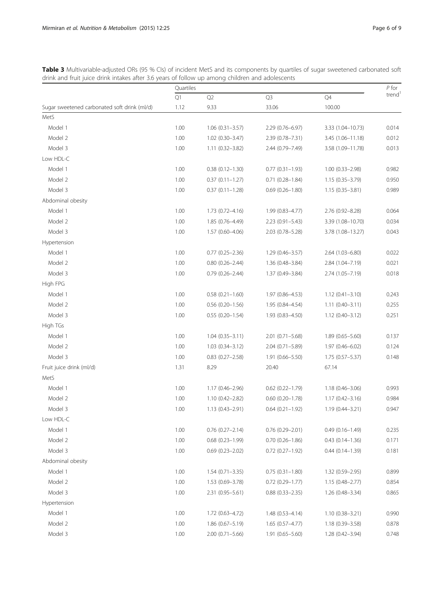<span id="page-5-0"></span>Table 3 Multivariable-adjusted ORs (95 % Cls) of incident MetS and its components by quartiles of sugar sweetened carbonated soft drink and fruit juice drink intakes after 3.6 years of follow up among children and adolescents

|                                              | Quartiles |                        |                        |                     | $P$ for            |
|----------------------------------------------|-----------|------------------------|------------------------|---------------------|--------------------|
|                                              | Q1        | Q2                     | Q <sub>3</sub>         | Q4                  | trend <sup>1</sup> |
| Sugar sweetened carbonated soft drink (ml/d) | 1.12      | 9.33                   | 33.06                  | 100.00              |                    |
| MetS                                         |           |                        |                        |                     |                    |
| Model 1                                      | 1.00      | $1.06(0.31 - 3.57)$    | 2.29 (0.76-6.97)       | 3.33 (1.04-10.73)   | 0.014              |
| Model 2                                      | 1.00      | $1.02$ (0.30-3.47)     | 2.39 (0.78-7.31)       | 3.45 (1.06-11.18)   | 0.012              |
| Model 3                                      | 1.00      | $1.11(0.32 - 3.82)$    | 2.44 (0.79-7.49)       | 3.58 (1.09-11.78)   | 0.013              |
| Low HDL-C                                    |           |                        |                        |                     |                    |
| Model 1                                      | 1.00      | $0.38(0.12 - 1.30)$    | $0.77(0.31 - 1.93)$    | $1.00(0.33 - 2.98)$ | 0.982              |
| Model 2                                      | 1.00      | $0.37(0.11 - 1.27)$    | $0.71(0.28 - 1.84)$    | $1.15(0.35 - 3.79)$ | 0.950              |
| Model 3                                      | 1.00      | $0.37(0.11 - 1.28)$    | $0.69(0.26 - 1.80)$    | $1.15(0.35 - 3.81)$ | 0.989              |
| Abdominal obesity                            |           |                        |                        |                     |                    |
| Model 1                                      | 1.00      | $1.73(0.72 - 4.16)$    | 1.99 (0.83-4.77)       | 2.76 (0.92-8.28)    | 0.064              |
| Model 2                                      | 1.00      | $1.85(0.76 - 4.49)$    | $2.23(0.91 - 5.43)$    | 3.39 (1.08-10.70)   | 0.034              |
| Model 3                                      | 1.00      | 1.57 (0.60-4.06)       | 2.03 (0.78-5.28)       | 3.78 (1.08-13.27)   | 0.043              |
| Hypertension                                 |           |                        |                        |                     |                    |
| Model 1                                      | 1.00      | $0.77$ $(0.25 - 2.36)$ | $1.29(0.46 - 3.57)$    | 2.64 (1.03-6.80)    | 0.022              |
| Model 2                                      | 1.00      | $0.80(0.26 - 2.44)$    | 1.36 (0.48-3.84)       | 2.84 (1.04-7.19)    | 0.021              |
| Model 3                                      | 1.00      | $0.79(0.26 - 2.44)$    | 1.37 (0.49-3.84)       | 2.74 (1.05-7.19)    | 0.018              |
| High FPG                                     |           |                        |                        |                     |                    |
| Model 1                                      | 1.00      | $0.58(0.21 - 1.60)$    | 1.97 (0.86-4.53)       | $1.12(0.41 - 3.10)$ | 0.243              |
| Model 2                                      | 1.00      | $0.56$ $(0.20 - 1.56)$ | 1.95 (0.84-4.54)       | $1.11(0.40 - 3.11)$ | 0.255              |
| Model 3                                      | 1.00      | $0.55(0.20-1.54)$      | $1.93(0.83 - 4.50)$    | $1.12(0.40 - 3.12)$ | 0.251              |
| High TGs                                     |           |                        |                        |                     |                    |
| Model 1                                      | 1.00      | $1.04(0.35 - 3.11)$    | $2.01(0.71 - 5.68)$    | $1.89(0.65 - 5.60)$ | 0.137              |
| Model 2                                      | 1.00      | $1.03(0.34 - 3.12)$    | 2.04 (0.71-5.89)       | $1.97(0.46 - 6.02)$ | 0.124              |
| Model 3                                      | 1.00      | $0.83$ $(0.27 - 2.58)$ | $1.91(0.66 - 5.50)$    | 1.75 (0.57-5.37)    | 0.148              |
| Fruit juice drink (ml/d)                     | 1.31      | 8.29                   | 20.40                  | 67.14               |                    |
| MetS                                         |           |                        |                        |                     |                    |
| Model 1                                      | 1.00      | $1.17(0.46 - 2.96)$    | $0.62$ $(0.22 - 1.79)$ | 1.18 (0.46-3.06)    | 0.993              |
| Model 2                                      | 1.00      | $1.10(0.42 - 2.82)$    | $0.60$ $(0.20 - 1.78)$ | $1.17(0.42 - 3.16)$ | 0.984              |
| Model 3                                      | 1.00      | $1.13(0.43 - 2.91)$    | $0.64(0.21 - 1.92)$    | $1.19(0.44 - 3.21)$ | 0.947              |
| Low HDL-C                                    |           |                        |                        |                     |                    |
| Model 1                                      | 1.00      | $0.76$ $(0.27 - 2.14)$ | $0.76(0.29 - 2.01)$    | $0.49(0.16 - 1.49)$ | 0.235              |
| Model 2                                      | 1.00      | $0.68(0.23 - 1.99)$    | $0.70(0.26 - 1.86)$    | $0.43(0.14 - 1.36)$ | 0.171              |
| Model 3                                      | 1.00      | $0.69(0.23 - 2.02)$    | $0.72$ $(0.27 - 1.92)$ | $0.44(0.14 - 1.39)$ | 0.181              |
| Abdominal obesity                            |           |                        |                        |                     |                    |
| Model 1                                      | 1.00      | $1.54(0.71 - 3.35)$    | $0.75(0.31 - 1.80)$    | 1.32 (0.59-2.95)    | 0.899              |
| Model 2                                      | 1.00      | $1.53(0.69 - 3.78)$    | $0.72$ $(0.29 - 1.77)$ | $1.15(0.48 - 2.77)$ | 0.854              |
| Model 3                                      | 1.00      | $2.31(0.95 - 5.61)$    | $0.88$ $(0.33 - 2.35)$ | 1.26 (0.48-3.34)    | 0.865              |
| Hypertension                                 |           |                        |                        |                     |                    |
| Model 1                                      | 1.00      | $1.72(0.63 - 4.72)$    | $1.48(0.53 - 4.14)$    | $1.10(0.38 - 3.21)$ | 0.990              |
| Model 2                                      | 1.00      | $1.86(0.67 - 5.19)$    | $1.65(0.57 - 4.77)$    | 1.18 (0.39-3.58)    | 0.878              |
| Model 3                                      | 1.00      | $2.00$ (0.71-5.66)     | $1.91(0.65 - 5.60)$    | 1.28 (0.42-3.94)    | 0.748              |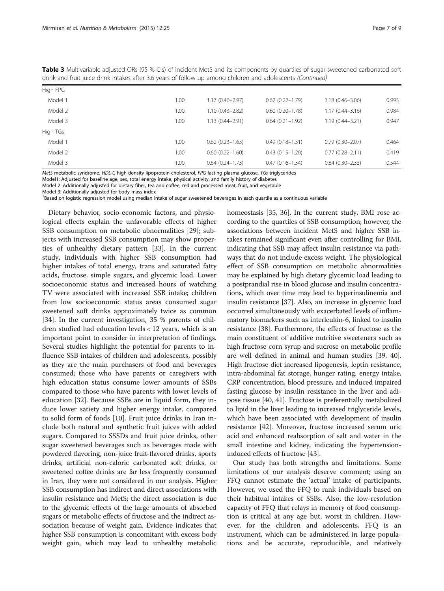| High FPG |      |                     |                     |                     |       |
|----------|------|---------------------|---------------------|---------------------|-------|
| Model 1  | 1.00 | $1.17(0.46 - 2.97)$ | $0.62(0.22 - 1.79)$ | $1.18(0.46 - 3.06)$ | 0.993 |
| Model 2  | 1.00 | $1.10(0.43 - 2.82)$ | $0.60(0.20 - 1.78)$ | $1.17(0.44 - 3.16)$ | 0.984 |
| Model 3  | 1.00 | $1.13(0.44 - 2.91)$ | $0.64(0.21 - 1.92)$ | $1.19(0.44 - 3.21)$ | 0.947 |
| High TGs |      |                     |                     |                     |       |
| Model 1  | 1.00 | $0.62(0.23 - 1.63)$ | $0.49(0.18 - 1.31)$ | $0.79(0.30 - 2.07)$ | 0.464 |
| Model 2  | 1.00 | $0.60(0.22 - 1.60)$ | $0.43(0.15 - 1.20)$ | $0.77(0.28 - 2.11)$ | 0.419 |
| Model 3  | 1.00 | $0.64(0.24 - 1.73)$ | $0.47(0.16 - 1.34)$ | $0.84(0.30 - 2.33)$ | 0.544 |

Table 3 Multivariable-adjusted ORs (95 % CIs) of incident MetS and its components by quartiles of sugar sweetened carbonated soft drink and fruit juice drink intakes after 3.6 years of follow up among children and adolescents (Continued)

MetS metabolic syndrome, HDL-C high density lipoprotein-cholesterol, FPG fasting plasma glucose, TGs triglycerides

Model1: Adjusted for baseline age, sex, total energy intake, physical activity, and family history of diabetes

Model 2: Additionally adjusted for dietary fiber, tea and coffee, red and processed meat, fruit, and vegetable

Model 3: Additionally adjusted for body mass index

<sup>1</sup>Based on logistic regression model using median intake of sugar sweetened beverages in each quartile as a continuous variable

Dietary behavior, socio-economic factors, and physiological effects explain the unfavorable effects of higher SSB consumption on metabolic abnormalities [[29\]](#page-8-0); subjects with increased SSB consumption may show properties of unhealthy dietary pattern [\[33\]](#page-8-0). In the current study, individuals with higher SSB consumption had higher intakes of total energy, trans and saturated fatty acids, fructose, simple sugars, and glycemic load. Lower socioeconomic status and increased hours of watching TV were associated with increased SSB intake; children from low socioeconomic status areas consumed sugar sweetened soft drinks approximately twice as common [[34\]](#page-8-0). In the current investigation, 35 % parents of children studied had education levels < 12 years, which is an important point to consider in interpretation of findings. Several studies highlight the potential for parents to influence SSB intakes of children and adolescents, possibly as they are the main purchasers of food and beverages consumed; those who have parents or caregivers with high education status consume lower amounts of SSBs compared to those who have parents with lower levels of education [[32\]](#page-8-0). Because SSBs are in liquid form, they induce lower satiety and higher energy intake, compared to solid form of foods [\[10\]](#page-7-0). Fruit juice drinks in Iran include both natural and synthetic fruit juices with added sugars. Compared to SSSDs and fruit juice drinks, other sugar sweetened beverages such as beverages made with powdered flavoring, non-juice fruit-flavored drinks, sports drinks, artificial non-caloric carbonated soft drinks, or sweetened coffee drinks are far less frequently consumed in Iran, they were not considered in our analysis. Higher SSB consumption has indirect and direct associations with insulin resistance and MetS; the direct association is due to the glycemic effects of the large amounts of absorbed sugars or metabolic effects of fructose and the indirect association because of weight gain. Evidence indicates that higher SSB consumption is concomitant with excess body weight gain, which may lead to unhealthy metabolic

homeostasis [\[35, 36\]](#page-8-0). In the current study, BMI rose according to the quartiles of SSB consumption; however, the associations between incident MetS and higher SSB intakes remained significant even after controlling for BMI, indicating that SSB may affect insulin resistance via pathways that do not include excess weight. The physiological effect of SSB consumption on metabolic abnormalities may be explained by high dietary glycemic load leading to a postprandial rise in blood glucose and insulin concentrations, which over time may lead to hyperinsulinemia and insulin resistance [[37\]](#page-8-0). Also, an increase in glycemic load occurred simultaneously with exacerbated levels of inflammatory biomarkers such as interleukin-6, linked to insulin resistance [\[38\]](#page-8-0). Furthermore, the effects of fructose as the main constituent of additive nutritive sweeteners such as high fructose corn syrup and sucrose on metabolic profile are well defined in animal and human studies [\[39](#page-8-0), [40](#page-8-0)]. High fructose diet increased lipogenesis, leptin resistance, intra-abdominal fat storage, hunger rating, energy intake, CRP concentration, blood pressure, and induced impaired fasting glucose by insulin resistance in the liver and adipose tissue [[40](#page-8-0), [41](#page-8-0)]. Fructose is preferentially metabolized to lipid in the liver leading to increased triglyceride levels, which have been associated with development of insulin resistance [\[42\]](#page-8-0). Moreover, fructose increased serum uric acid and enhanced reabsorption of salt and water in the small intestine and kidney, indicating the hypertensioninduced effects of fructose [[43](#page-8-0)].

Our study has both strengths and limitations. Some limitations of our analysis deserve comment; using an FFQ cannot estimate the 'actual' intake of participants. However, we used the FFQ to rank individuals based on their habitual intakes of SSBs. Also, the low-resolution capacity of FFQ that relays in memory of food consumption is critical at any age but, worst in children. However, for the children and adolescents, FFQ is an instrument, which can be administered in large populations and be accurate, reproducible, and relatively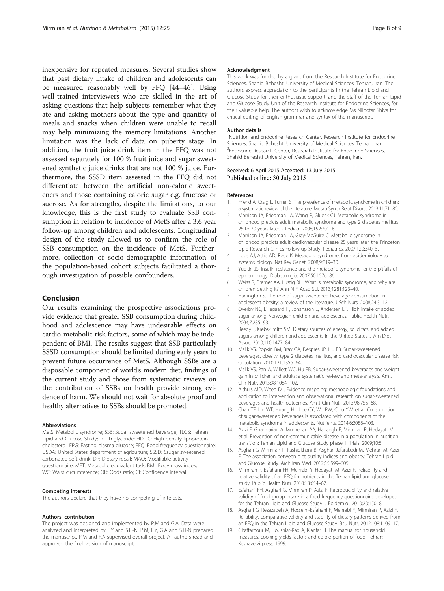<span id="page-7-0"></span>inexpensive for repeated measures. Several studies show that past dietary intake of children and adolescents can be measured reasonably well by FFQ [\[44](#page-8-0)–[46\]](#page-8-0). Using well-trained interviewers who are skilled in the art of asking questions that help subjects remember what they ate and asking mothers about the type and quantity of meals and snacks when children were unable to recall may help minimizing the memory limitations. Another limitation was the lack of data on puberty stage. In addition, the fruit juice drink item in the FFQ was not assessed separately for 100 % fruit juice and sugar sweetened synthetic juice drinks that are not 100 % juice. Furthermore, the SSSD item assessed in the FFQ did not differentiate between the artificial non-caloric sweeteners and those containing caloric sugar e.g. fructose or sucrose. As for strengths, despite the limitations, to our knowledge, this is the first study to evaluate SSB consumption in relation to incidence of MetS after a 3.6 year follow-up among children and adolescents. Longitudinal design of the study allowed us to confirm the role of SSB consumption on the incidence of MetS. Furthermore, collection of socio-demographic information of the population-based cohort subjects facilitated a thorough investigation of possible confounders.

# Conclusion

Our results examining the prospective associations provide evidence that greater SSB consumption during childhood and adolescence may have undesirable effects on cardio-metabolic risk factors, some of which may be independent of BMI. The results suggest that SSB particularly SSSD consumption should be limited during early years to prevent future occurrence of MetS. Although SSBs are a disposable component of world's modern diet, findings of the current study and those from systematic reviews on the contribution of SSBs on health provide strong evidence of harm. We should not wait for absolute proof and healthy alternatives to SSBs should be promoted.

#### Abbreviations

MetS: Metabolic syndrome; SSB: Sugar sweetened beverage; TLGS: Tehran Lipid and Glucose Study; TG: Triglyceride; HDL-C: High density lipoprotein cholesterol; FPG: Fasting plasma glucose; FFQ: Food frequency questionnaire; USDA: United States department of agriculture; SSSD: Ssugar sweetened carbonated soft drink; DR: Dietary recall; MAQ: Modifiable activity questionnaire; MET: Metabolic equivalent task; BMI: Body mass index; WC: Waist circumference; OR: Odds ratio; CI: Confidence interval.

#### Competing interests

The authors declare that they have no competing of interests.

#### Authors' contribution

The project was designed and implemented by P.M and G.A. Data were analyzed and interpreted by E.Y and S.H-N. P.M, E.Y, G.A and S.H-N prepared the manuscript. P.M and F.A supervised overall project. All authors read and approved the final version of manuscript.

#### Acknowledgment

This work was funded by a grant from the Research Institute for Endocrine Sciences, Shahid Beheshti University of Medical Sciences, Tehran, Iran. The authors express appreciation to the participants in the Tehran Lipid and Glucose Study for their enthusiastic support, and the staff of the Tehran Lipid and Glucose Study Unit of the Research Institute for Endocrine Sciences, for their valuable help. The authors wish to acknowledge Ms Niloofar Shiva for critical editing of English grammar and syntax of the manuscript.

#### Author details

<sup>1</sup>Nutrition and Endocrine Research Center, Research Institute for Endocrine Sciences, Shahid Beheshti University of Medical Sciences, Tehran, Iran. <sup>2</sup>Endocrine Research Center, Research Institute for Endocrine Sciences, Shahid Beheshti University of Medical Sciences, Tehran, Iran.

#### Received: 6 April 2015 Accepted: 13 July 2015 Published online: 30 July 2015

#### References

- 1. Friend A, Craig L, Turner S. The prevalence of metabolic syndrome in children: a systematic review of the literature. Metab Syndr Relat Disord. 2013;11:71–80.
- 2. Morrison JA, Friedman LA, Wang P, Glueck CJ. Metabolic syndrome in childhood predicts adult metabolic syndrome and type 2 diabetes mellitus 25 to 30 years later. J Pediatr. 2008;152:201–6.
- 3. Morrison JA, Friedman LA, Gray-McGuire C. Metabolic syndrome in childhood predicts adult cardiovascular disease 25 years later: the Princeton Lipid Research Clinics Follow-up Study. Pediatrics. 2007;120:340–5.
- 4. Lusis AJ, Attie AD, Reue K. Metabolic syndrome: from epidemiology to systems biology. Nat Rev Genet. 2008;9:819–30.
- 5. Yudkin JS. Insulin resistance and the metabolic syndrome–or the pitfalls of epidemiology. Diabetologia. 2007;50:1576–86.
- 6. Weiss R, Bremer AA, Lustig RH. What is metabolic syndrome, and why are children getting it? Ann N Y Acad Sci. 2013;1281:123–40.
- 7. Harrington S. The role of sugar-sweetened beverage consumption in adolescent obesity: a review of the literature. J Sch Nurs. 2008;24:3–12.
- 8. Overby NC, Lillegaard IT, Johansson L, Andersen LF. High intake of added sugar among Norwegian children and adolescents. Public Health Nutr. 2004;7:285–93.
- Reedy J, Krebs-Smith SM. Dietary sources of energy, solid fats, and added sugars among children and adolescents in the United States. J Am Diet Assoc. 2010;110:1477–84.
- 10. Malik VS, Popkin BM, Bray GA, Despres JP, Hu FB. Sugar-sweetened beverages, obesity, type 2 diabetes mellitus, and cardiovascular disease risk. Circulation. 2010;121:1356–64.
- 11. Malik VS, Pan A, Willett WC, Hu FB. Sugar-sweetened beverages and weight gain in children and adults: a systematic review and meta-analysis. Am J Clin Nutr. 2013;98:1084–102.
- 12. Althuis MD, Weed DL. Evidence mapping: methodologic foundations and application to intervention and observational research on sugar-sweetened beverages and health outcomes. Am J Clin Nutr. 2013;98:755–68.
- 13. Chan TF, Lin WT, Huang HL, Lee CY, Wu PW, Chiu YW, et al. Consumption of sugar-sweetened beverages is associated with components of the metabolic syndrome in adolescents. Nutrients. 2014;6:2088–103.
- 14. Azizi F, Ghanbarian A, Momenan AA, Hadaegh F, Mirmiran P, Hedayati M, et al. Prevention of non-communicable disease in a population in nutrition transition: Tehran Lipid and Glucose Study phase II. Trials. 2009;10:5.
- 15. Asghari G, Mirmiran P, Rashidkhani B, Asghari-Jafarabadi M, Mehran M, Azizi F. The association between diet quality indices and obesity: Tehran Lipid and Glucose Study. Arch Iran Med. 2012;15:599–605.
- 16. Mirmiran P, Esfahani FH, Mehrabi Y, Hedayati M, Azizi F. Reliability and relative validity of an FFQ for nutrients in the Tehran lipid and glucose study. Public Health Nutr. 2010;13:654–62.
- 17. Esfahani FH, Asghari G, Mirmiran P, Azizi F. Reproducibility and relative validity of food group intake in a food frequency questionnaire developed for the Tehran Lipid and Glucose Study. J Epidemiol. 2010;20:150–8.
- 18. Asghari G, Rezazadeh A, Hosseini-Esfahani F, Mehrabi Y, Mirmiran P, Azizi F. Reliability, comparative validity and stability of dietary patterns derived from an FFQ in the Tehran Lipid and Glucose Study. Br J Nutr. 2012;108:1109–17.
- 19. Ghaffarpour M, Houshiar-Rad A, Kianfar H. The manual for household measures, cooking yields factors and edible portion of food. Tehran: Keshaverzi press; 1999.